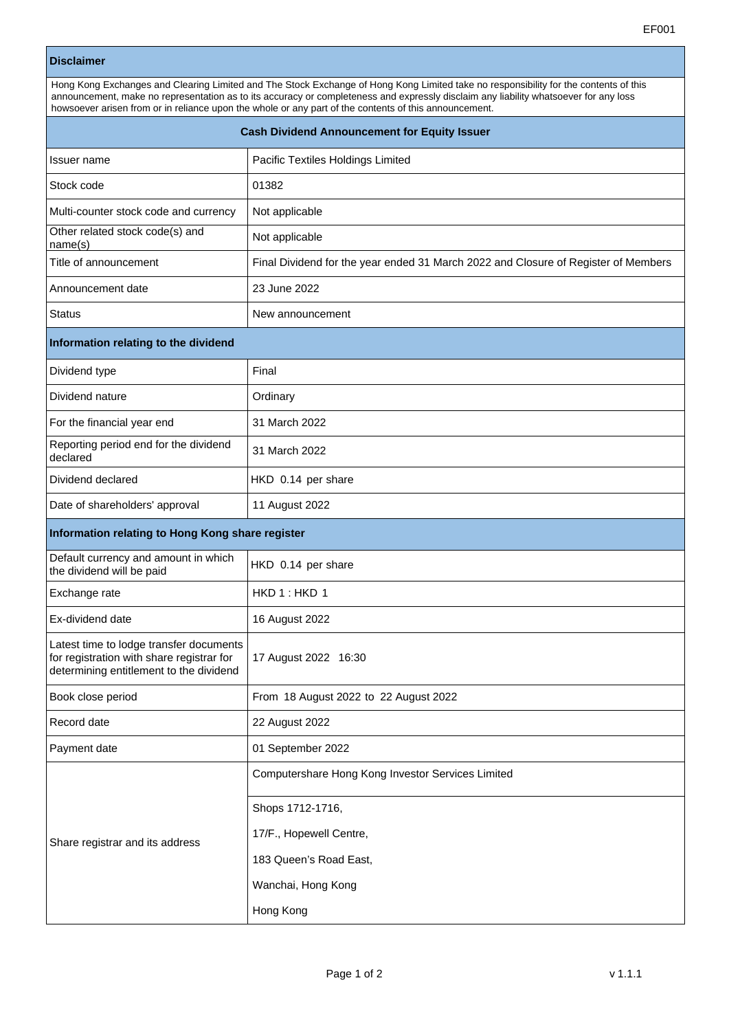|                                                                                                                                 | EF001                                                                                                                                                                                                                                                                                                                                                                                 |
|---------------------------------------------------------------------------------------------------------------------------------|---------------------------------------------------------------------------------------------------------------------------------------------------------------------------------------------------------------------------------------------------------------------------------------------------------------------------------------------------------------------------------------|
| <b>Disclaimer</b>                                                                                                               |                                                                                                                                                                                                                                                                                                                                                                                       |
|                                                                                                                                 | Hong Kong Exchanges and Clearing Limited and The Stock Exchange of Hong Kong Limited take no responsibility for the contents of this<br>announcement, make no representation as to its accuracy or completeness and expressly disclaim any liability whatsoever for any loss<br>howsoever arisen from or in reliance upon the whole or any part of the contents of this announcement. |
| <b>Cash Dividend Announcement for Equity Issuer</b>                                                                             |                                                                                                                                                                                                                                                                                                                                                                                       |
| Issuer name                                                                                                                     | Pacific Textiles Holdings Limited                                                                                                                                                                                                                                                                                                                                                     |
| Stock code                                                                                                                      | 01382                                                                                                                                                                                                                                                                                                                                                                                 |
| Multi-counter stock code and currency                                                                                           | Not applicable                                                                                                                                                                                                                                                                                                                                                                        |
| Other related stock code(s) and<br>name(s)                                                                                      | Not applicable                                                                                                                                                                                                                                                                                                                                                                        |
| Title of announcement                                                                                                           | Final Dividend for the year ended 31 March 2022 and Closure of Register of Members                                                                                                                                                                                                                                                                                                    |
| Announcement date                                                                                                               | 23 June 2022                                                                                                                                                                                                                                                                                                                                                                          |
| <b>Status</b>                                                                                                                   | New announcement                                                                                                                                                                                                                                                                                                                                                                      |
| Information relating to the dividend                                                                                            |                                                                                                                                                                                                                                                                                                                                                                                       |
| Dividend type                                                                                                                   | Final                                                                                                                                                                                                                                                                                                                                                                                 |
| Dividend nature                                                                                                                 | Ordinary                                                                                                                                                                                                                                                                                                                                                                              |
| For the financial year end                                                                                                      | 31 March 2022                                                                                                                                                                                                                                                                                                                                                                         |
| Reporting period end for the dividend<br>declared                                                                               | 31 March 2022                                                                                                                                                                                                                                                                                                                                                                         |
| Dividend declared                                                                                                               | HKD 0.14 per share                                                                                                                                                                                                                                                                                                                                                                    |
| Date of shareholders' approval                                                                                                  | 11 August 2022                                                                                                                                                                                                                                                                                                                                                                        |
| Information relating to Hong Kong share register                                                                                |                                                                                                                                                                                                                                                                                                                                                                                       |
| Default currency and amount in which<br>the dividend will be paid                                                               | HKD 0.14 per share                                                                                                                                                                                                                                                                                                                                                                    |
| Exchange rate                                                                                                                   | HKD 1: HKD 1                                                                                                                                                                                                                                                                                                                                                                          |
| Ex-dividend date                                                                                                                | 16 August 2022                                                                                                                                                                                                                                                                                                                                                                        |
| Latest time to lodge transfer documents<br>for registration with share registrar for<br>determining entitlement to the dividend | 17 August 2022 16:30                                                                                                                                                                                                                                                                                                                                                                  |
| Book close period                                                                                                               | From 18 August 2022 to 22 August 2022                                                                                                                                                                                                                                                                                                                                                 |
| Record date                                                                                                                     | 22 August 2022                                                                                                                                                                                                                                                                                                                                                                        |
| Payment date                                                                                                                    | 01 September 2022                                                                                                                                                                                                                                                                                                                                                                     |
|                                                                                                                                 | Computershare Hong Kong Investor Services Limited                                                                                                                                                                                                                                                                                                                                     |

Shops 1712-1716,

17/F., Hopewell Centre,

183 Queen's Road East,

Wanchai, Hong Kong

Hong Kong

Share registrar and its address